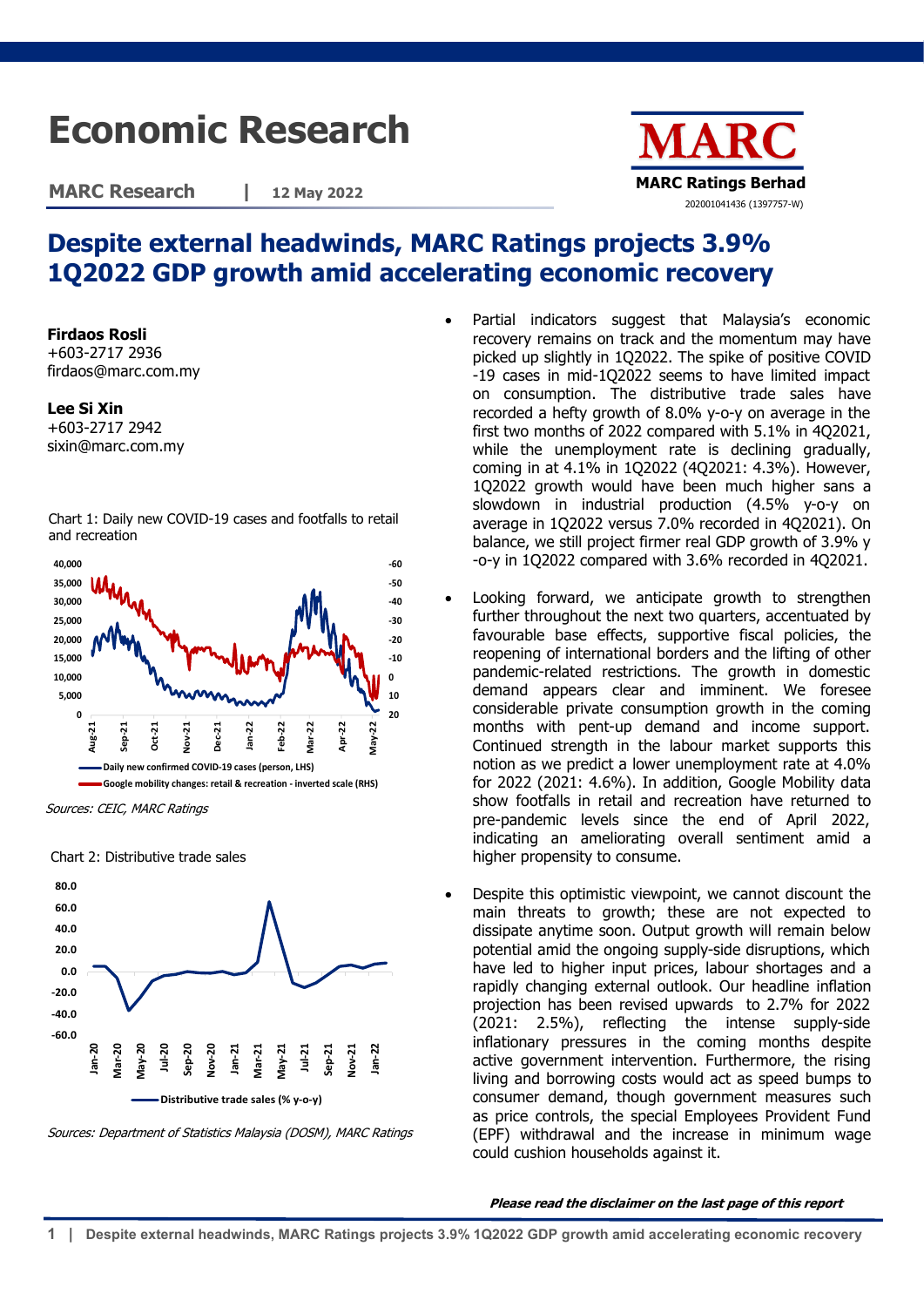## **Economic Research**

**MARC Research | 12 May 2022**



## **Despite external headwinds, MARC Ratings projects 3.9% 1Q2022 GDP growth amid accelerating economic recovery**

**Firdaos Rosli** +603-2717 2936 firdaos@marc.com.my

**Lee Si Xin**

+603-2717 2942 sixin@marc.com.my

Chart 1: Daily new COVID-19 cases and footfalls to retail and recreation



Sources: CEIC, MARC Ratings

Chart 2: Distributive trade sales



Sources: Department of Statistics Malaysia (DOSM), MARC Ratings

- Partial indicators suggest that Malaysia's economic recovery remains on track and the momentum may have picked up slightly in 1Q2022. The spike of positive COVID -19 cases in mid-1Q2022 seems to have limited impact on consumption. The distributive trade sales have recorded a hefty growth of 8.0% y-o-y on average in the first two months of 2022 compared with 5.1% in 4Q2021, while the unemployment rate is declining gradually, coming in at 4.1% in 1Q2022 (4Q2021: 4.3%). However, 1Q2022 growth would have been much higher sans a slowdown in industrial production (4.5% y-o-y on average in 1Q2022 versus 7.0% recorded in 4Q2021). On balance, we still project firmer real GDP growth of 3.9% y -o-y in 1Q2022 compared with 3.6% recorded in 4Q2021.
- Looking forward, we anticipate growth to strengthen further throughout the next two quarters, accentuated by favourable base effects, supportive fiscal policies, the reopening of international borders and the lifting of other pandemic-related restrictions. The growth in domestic demand appears clear and imminent. We foresee considerable private consumption growth in the coming months with pent-up demand and income support. Continued strength in the labour market supports this notion as we predict a lower unemployment rate at 4.0% for 2022 (2021: 4.6%). In addition, Google Mobility data show footfalls in retail and recreation have returned to pre-pandemic levels since the end of April 2022, indicating an ameliorating overall sentiment amid a higher propensity to consume.
- Despite this optimistic viewpoint, we cannot discount the main threats to growth; these are not expected to dissipate anytime soon. Output growth will remain below potential amid the ongoing supply-side disruptions, which have led to higher input prices, labour shortages and a rapidly changing external outlook. Our headline inflation projection has been revised upwards to 2.7% for 2022 (2021: 2.5%), reflecting the intense supply-side inflationary pressures in the coming months despite active government intervention. Furthermore, the rising living and borrowing costs would act as speed bumps to consumer demand, though government measures such as price controls, the special Employees Provident Fund (EPF) withdrawal and the increase in minimum wage could cushion households against it.

## **Please read the disclaimer on the last page of this report**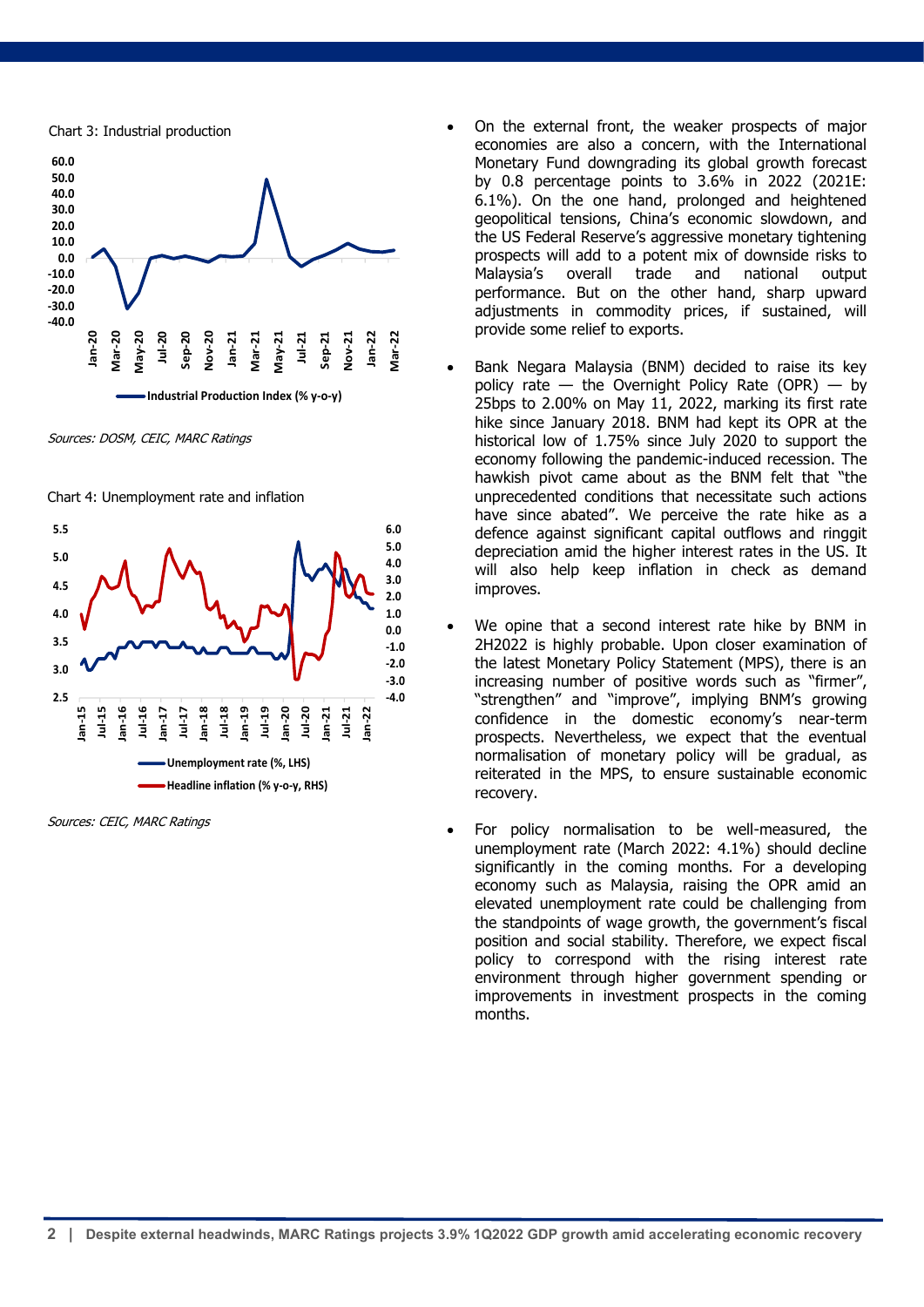

Sources: DOSM, CEIC, MARC Ratings





Sources: CEIC, MARC Ratings

- Chart 3: Industrial production On the external front, the weaker prospects of major economies are also a concern, with the International Monetary Fund downgrading its global growth forecast by 0.8 percentage points to 3.6% in 2022 (2021E: 6.1%). On the one hand, prolonged and heightened geopolitical tensions, China's economic slowdown, and the US Federal Reserve's aggressive monetary tightening prospects will add to a potent mix of downside risks to Malaysia's overall trade and national output performance. But on the other hand, sharp upward adjustments in commodity prices, if sustained, will provide some relief to exports.
	- Bank Negara Malaysia (BNM) decided to raise its key policy rate  $-$  the Overnight Policy Rate (OPR)  $-$  by 25bps to 2.00% on May 11, 2022, marking its first rate hike since January 2018. BNM had kept its OPR at the historical low of 1.75% since July 2020 to support the economy following the pandemic-induced recession. The hawkish pivot came about as the BNM felt that "the unprecedented conditions that necessitate such actions have since abated". We perceive the rate hike as a defence against significant capital outflows and ringgit depreciation amid the higher interest rates in the US. It will also help keep inflation in check as demand improves.
	- We opine that a second interest rate hike by BNM in 2H2022 is highly probable. Upon closer examination of the latest Monetary Policy Statement (MPS), there is an increasing number of positive words such as "firmer", "strengthen" and "improve", implying BNM's growing confidence in the domestic economy's near-term prospects. Nevertheless, we expect that the eventual normalisation of monetary policy will be gradual, as reiterated in the MPS, to ensure sustainable economic recovery.
	- For policy normalisation to be well-measured, the unemployment rate (March 2022: 4.1%) should decline significantly in the coming months. For a developing economy such as Malaysia, raising the OPR amid an elevated unemployment rate could be challenging from the standpoints of wage growth, the government's fiscal position and social stability. Therefore, we expect fiscal policy to correspond with the rising interest rate environment through higher government spending or improvements in investment prospects in the coming months.